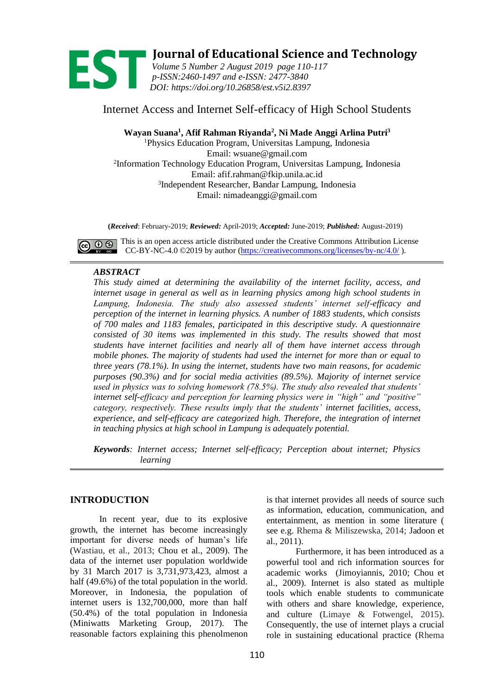

**1989 <b>1999 • Journal of Educational Science and Technology**<br> *Volume 5 Number 2 August 2019 page 110-117*<br> *p-ISSN:2460-1497 and e-ISSN: 2477-3840 Volume 5 Number 2 August 2019 page 110-117 p-ISSN[:2460-1497](http://u.lipi.go.id/1432633347) and e-ISSN: [2477-3840](http://u.lipi.go.id/1446609419) DOI: https://doi.org/10.26858/est.v5i2.8397*

# Internet Access and Internet Self-efficacy of High School Students

**Wayan Suana<sup>1</sup> , Afif Rahman Riyanda<sup>2</sup> , Ni Made Anggi Arlina Putri<sup>3</sup>**

<sup>1</sup>Physics Education Program, Universitas Lampung, Indonesia Email: wsuane@gmail.com 2 Information Technology Education Program, Universitas Lampung, Indonesia Email: afif.rahman@fkip.unila.ac.id 3 Independent Researcher, Bandar Lampung, Indonesia Email: nimadeanggi@gmail.com

**(***Received*: February-2019; *Reviewed:* April-2019; *Accepted:* June-2019; *Published:* August-2019)

 $\bigodot$   $\bigodot$   $\bigodot$  This is an open access article distributed under the Creative Commons Attribution License CC-BY-NC-4.0 ©2019 by author [\(https://creativecommons.org/licenses/by-nc/4.0/](https://creativecommons.org/licenses/by-nc/4.0/)).

### *ABSTRACT*

*This study aimed at determining the availability of the internet facility, access, and internet usage in general as well as in learning physics among high school students in Lampung, Indonesia. The study also assessed students' internet self-efficacy and perception of the internet in learning physics. A number of 1883 students, which consists of 700 males and 1183 females, participated in this descriptive study. A questionnaire consisted of 30 items was implemented in this study. The results showed that most students have internet facilities and nearly all of them have internet access through mobile phones. The majority of students had used the internet for more than or equal to three years (78.1%). In using the internet, students have two main reasons, for academic purposes (90.3%) and for social media activities (89.5%). Majority of internet service used in physics was to solving homework (78.5%). The study also revealed that students' internet self-efficacy and perception for learning physics were in "high" and "positive" category, respectively. These results imply that the students' internet facilities, access, experience, and self-efficacy are categorized high. Therefore, the integration of internet in teaching physics at high school in Lampung is adequately potential.* 

*Keywords: Internet access; Internet self-efficacy; Perception about internet; Physics learning*

## **INTRODUCTION**

In recent year, due to its explosive growth, the internet has become increasingly important for diverse needs of human's life (Wastiau, et al., 2013; Chou et al., 2009). The data of the internet user population worldwide by 31 March 2017 is 3,731,973,423, almost a half (49.6%) of the total population in the world. Moreover, in Indonesia, the population of internet users is 132,700,000, more than half (50.4%) of the total population in Indonesia (Miniwatts Marketing Group, 2017). The reasonable factors explaining this phenolmenon

is that internet provides all needs of source such as information, education, communication, and entertainment, as mention in some literature ( see e.g. Rhema & Miliszewska, 2014; Jadoon et al., 2011).

Furthermore, it has been introduced as a powerful tool and rich information sources for academic works (Jimoyiannis, 2010; Chou et al., 2009). Internet is also stated as multiple tools which enable students to communicate with others and share knowledge, experience, and culture (Limaye & Fotwengel, 2015). Consequently, the use of internet plays a crucial role in sustaining educational practice (Rhema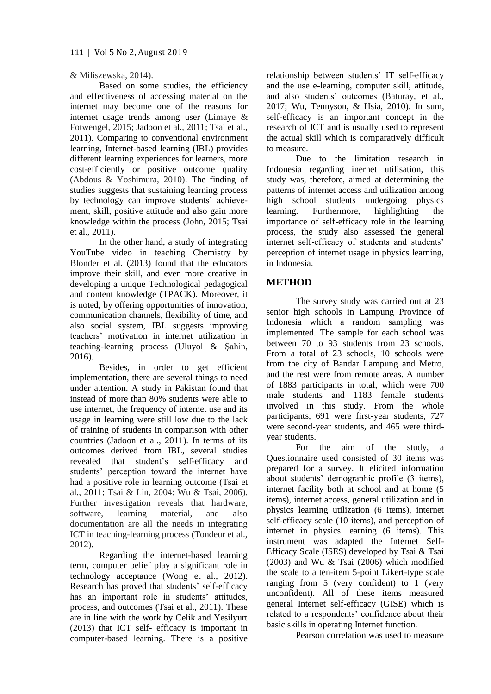### & Miliszewska, 2014).

Based on some studies, the efficiency and effectiveness of accessing material on the internet may become one of the reasons for internet usage trends among user (Limaye & Fotwengel, 2015; Jadoon et al., 2011; Tsai et al., 2011). Comparing to conventional environment learning, Internet-based learning (IBL) provides different learning experiences for learners, more cost-efficiently or positive outcome quality (Abdous & Yoshimura, 2010). The finding of studies suggests that sustaining learning process by technology can improve students' achievement, skill, positive attitude and also gain more knowledge within the process (John, 2015; Tsai et al., 2011).

In the other hand, a study of integrating YouTube video in teaching Chemistry by Blonder et al. (2013) found that the educators improve their skill, and even more creative in developing a unique Technological pedagogical and content knowledge (TPACK). Moreover, it is noted, by offering opportunities of innovation, communication channels, flexibility of time, and also social system, IBL suggests improving teachers' motivation in internet utilization in teaching-learning process (Uluyol & Şahin, 2016).

Besides, in order to get efficient implementation, there are several things to need under attention. A study in Pakistan found that instead of more than 80% students were able to use internet, the frequency of internet use and its usage in learning were still low due to the lack of training of students in comparison with other countries (Jadoon et al., 2011). In terms of its outcomes derived from IBL, several studies revealed that student's self-efficacy and students' perception toward the internet have had a positive role in learning outcome (Tsai et al., 2011; Tsai & Lin, 2004; Wu & Tsai, 2006). Further investigation reveals that hardware, software, learning material, and also documentation are all the needs in integrating ICT in teaching-learning process (Tondeur et al., 2012).

Regarding the internet-based learning term, computer belief play a significant role in technology acceptance (Wong et al., 2012). Research has proved that students' self-efficacy has an important role in students' attitudes, process, and outcomes (Tsai et al., 2011). These are in line with the work by Celik and Yesilyurt (2013) that ICT self- efficacy is important in computer-based learning. There is a positive

relationship between students' IT self-efficacy and the use e-learning, computer skill, attitude, and also students' outcomes (Baturay, et al., 2017; Wu, Tennyson, & Hsia, 2010). In sum, self-efficacy is an important concept in the research of ICT and is usually used to represent the actual skill which is comparatively difficult to measure.

Due to the limitation research in Indonesia regarding inernet utilisation, this study was, therefore, aimed at determining the patterns of internet access and utilization among high school students undergoing physics learning. Furthermore, highlighting the importance of self-efficacy role in the learning process, the study also assessed the general internet self-efficacy of students and students' perception of internet usage in physics learning, in Indonesia.

## **METHOD**

The survey study was carried out at 23 senior high schools in Lampung Province of Indonesia which a random sampling was implemented. The sample for each school was between 70 to 93 students from 23 schools. From a total of 23 schools, 10 schools were from the city of Bandar Lampung and Metro, and the rest were from remote areas. A number of 1883 participants in total, which were 700 male students and 1183 female students involved in this study. From the whole participants, 691 were first-year students, 727 were second-year students, and 465 were thirdyear students.

For the aim of the study, a Questionnaire used consisted of 30 items was prepared for a survey. It elicited information about students' demographic profile (3 items), internet facility both at school and at home (5 items), internet access, general utilization and in physics learning utilization (6 items), internet self-efficacy scale (10 items), and perception of internet in physics learning (6 items). This instrument was adapted the Internet Self-Efficacy Scale (ISES) developed by Tsai & Tsai  $(2003)$  and Wu & Tsai  $(2006)$  which modified the scale to a ten-item 5-point Likert-type scale ranging from 5 (very confident) to 1 (very unconfident). All of these items measured general Internet self-efficacy (GISE) which is related to a respondents' confidence about their basic skills in operating Internet function.

Pearson correlation was used to measure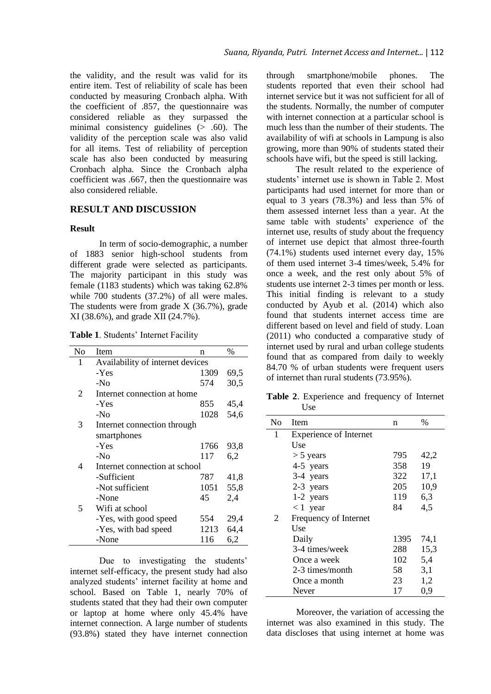the validity, and the result was valid for its entire item. Test of reliability of scale has been conducted by measuring Cronbach alpha. With the coefficient of .857, the questionnaire was considered reliable as they surpassed the minimal consistency guidelines (> .60). The validity of the perception scale was also valid for all items. Test of reliability of perception scale has also been conducted by measuring Cronbach alpha. Since the Cronbach alpha coefficient was .667, then the questionnaire was also considered reliable.

#### **RESULT AND DISCUSSION**

#### **Result**

In term of socio-demographic, a number of 1883 senior high-school students from different grade were selected as participants. The majority participant in this study was female (1183 students) which was taking 62.8% while 700 students (37.2%) of all were males. The students were from grade X (36.7%), grade XI (38.6%), and grade XII (24.7%).

**Table 1**. Students' Internet Facility

| No | Item                             | n    | $\%$ |
|----|----------------------------------|------|------|
| 1  | Availability of internet devices |      |      |
|    | -Yes                             | 1309 | 69,5 |
|    | $-N0$                            | 574  | 30,5 |
| 2  | Internet connection at home      |      |      |
|    | -Yes                             | 855  | 45,4 |
|    | $-N0$                            | 1028 | 54,6 |
| 3  | Internet connection through      |      |      |
|    | smartphones                      |      |      |
|    | -Yes                             | 1766 | 93,8 |
|    | $-N0$                            | 117  | 6,2  |
| 4  | Internet connection at school    |      |      |
|    | -Sufficient                      | 787  | 41,8 |
|    | -Not sufficient                  | 1051 | 55,8 |
|    | -None                            | 45   | 2,4  |
| 5  | Wifi at school                   |      |      |
|    | -Yes, with good speed            | 554  | 29,4 |
|    | -Yes, with bad speed             | 1213 | 64,4 |
|    | -None                            | 116  | 6,2  |

Due to investigating the students' internet self-efficacy, the present study had also analyzed students' internet facility at home and school. Based on Table 1, nearly 70% of students stated that they had their own computer or laptop at home where only 45.4% have internet connection. A large number of students (93.8%) stated they have internet connection through smartphone/mobile phones. The students reported that even their school had internet service but it was not sufficient for all of the students. Normally, the number of computer with internet connection at a particular school is much less than the number of their students. The availability of wifi at schools in Lampung is also growing, more than 90% of students stated their schools have wifi, but the speed is still lacking.

The result related to the experience of students' internet use is shown in Table 2. Most participants had used internet for more than or equal to 3 years (78.3%) and less than 5% of them assessed internet less than a year. At the same table with students' experience of the internet use, results of study about the frequency of internet use depict that almost three-fourth (74.1%) students used internet every day, 15% of them used internet 3-4 times/week, 5.4% for once a week, and the rest only about 5% of students use internet 2-3 times per month or less. This initial finding is relevant to a study conducted by Ayub et al. (2014) which also found that students internet access time are different based on level and field of study. Loan (2011) who conducted a comparative study of internet used by rural and urban college students found that as compared from daily to weekly 84.70 % of urban students were frequent users of internet than rural students (73.95%).

**Table 2**. Experience and frequency of Internet Use

| No | Item                          | n    | $\%$ |
|----|-------------------------------|------|------|
| 1  | <b>Experience of Internet</b> |      |      |
|    | Use                           |      |      |
|    | $> 5$ years                   | 795  | 42,2 |
|    | 4-5 years                     | 358  | 19   |
|    | 3-4 years                     | 322  | 17,1 |
|    | 2-3 years                     | 205  | 10,9 |
|    | $1-2$ years                   | 119  | 6,3  |
|    | $< 1$ year                    | 84   | 4,5  |
| 2  | Frequency of Internet         |      |      |
|    | Use                           |      |      |
|    | Daily                         | 1395 | 74,1 |
|    | 3-4 times/week                | 288  | 15,3 |
|    | Once a week                   | 102  | 5,4  |
|    | 2-3 times/month               | 58   | 3,1  |
|    | Once a month                  | 23   | 1,2  |
|    | Never                         | 17   | 0,9  |

Moreover, the variation of accessing the internet was also examined in this study. The data discloses that using internet at home was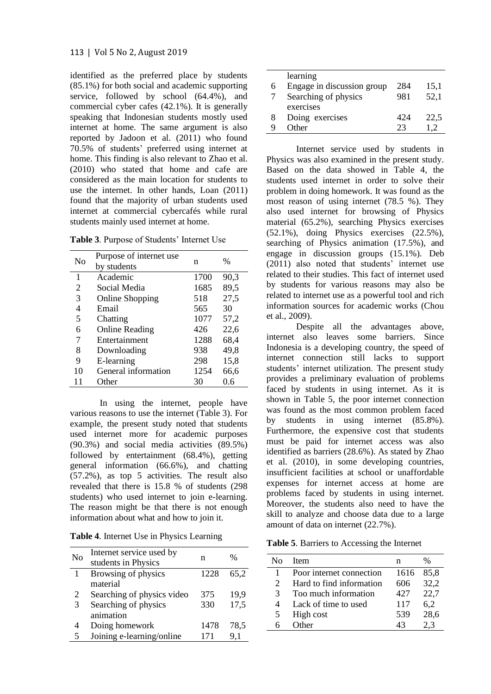identified as the preferred place by students (85.1%) for both social and academic supporting service, followed by school  $(64.4\%)$ , and commercial cyber cafes (42.1%). It is generally speaking that Indonesian students mostly used internet at home. The same argument is also reported by Jadoon et al. (2011) who found 70.5% of students' preferred using internet at home. This finding is also relevant to Zhao et al. (2010) who stated that home and cafe are considered as the main location for students to use the internet. In other hands, Loan (2011) found that the majority of urban students used internet at commercial cybercafés while rural students mainly used internet at home.

**Table 3**. Purpose of Students' Internet Use

| Nο | Purpose of internet use<br>by students | n    | %    |
|----|----------------------------------------|------|------|
|    |                                        |      |      |
| 1  | Academic                               | 1700 | 90,3 |
| 2  | Social Media                           | 1685 | 89,5 |
| 3  | <b>Online Shopping</b>                 | 518  | 27,5 |
| 4  | Email                                  | 565  | 30   |
| 5  | Chatting                               | 1077 | 57,2 |
| 6  | <b>Online Reading</b>                  | 426  | 22,6 |
| 7  | Entertainment                          | 1288 | 68,4 |
| 8  | Downloading                            | 938  | 49,8 |
| 9  | E-learning                             | 298  | 15,8 |
| 10 | General information                    | 1254 | 66,6 |
|    | Other                                  | 30   | 0.6  |

In using the internet, people have various reasons to use the internet (Table 3). For example, the present study noted that students used internet more for academic purposes (90.3%) and social media activities (89.5%) followed by entertainment (68.4%), getting general information (66.6%), and chatting (57.2%), as top 5 activities. The result also revealed that there is 15.8 % of students (298 students) who used internet to join e-learning. The reason might be that there is not enough information about what and how to join it.

**Table 4**. Internet Use in Physics Learning

| No | Internet service used by<br>students in Physics | n    | $\%$ |
|----|-------------------------------------------------|------|------|
| 1  | Browsing of physics<br>material                 | 1228 | 65.2 |
| 2  | Searching of physics video                      | 375  | 19,9 |
| 3  | Searching of physics<br>animation               | 330  | 17,5 |
|    | Doing homework                                  | 1478 | 78.5 |
| 5  | Joining e-learning/online                       | 171  | 9,1  |

|   | learning                   |     |      |
|---|----------------------------|-----|------|
| 6 | Engage in discussion group | 284 | 15,1 |
|   | Searching of physics       | 981 | 52,1 |
|   | exercises                  |     |      |
| 8 | Doing exercises            | 424 | 22,5 |
|   | Other                      | 23  |      |

Internet service used by students in Physics was also examined in the present study. Based on the data showed in Table 4, the students used internet in order to solve their problem in doing homework. It was found as the most reason of using internet (78.5 %). They also used internet for browsing of Physics material (65.2%), searching Physics exercises (52.1%), doing Physics exercises (22.5%), searching of Physics animation (17.5%), and engage in discussion groups (15.1%). Deb (2011) also noted that students' internet use related to their studies. This fact of internet used by students for various reasons may also be related to internet use as a powerful tool and rich information sources for academic works (Chou et al., 2009).

Despite all the advantages above, internet also leaves some barriers. Since Indonesia is a developing country, the speed of internet connection still lacks to support students' internet utilization. The present study provides a preliminary evaluation of problems faced by students in using internet. As it is shown in Table 5, the poor internet connection was found as the most common problem faced by students in using internet (85.8%). Furthermore, the expensive cost that students must be paid for internet access was also identified as barriers (28.6%). As stated by Zhao et al. (2010), in some developing countries, insufficient facilities at school or unaffordable expenses for internet access at home are problems faced by students in using internet. Moreover, the students also need to have the skill to analyze and choose data due to a large amount of data on internet (22.7%).

**Table 5**. Barriers to Accessing the Internet

| N٥                          | Item                     |      | $\%$ |
|-----------------------------|--------------------------|------|------|
|                             | Poor internet connection | 1616 | 85,8 |
| $\mathcal{D}_{\mathcal{A}}$ | Hard to find information | 606  | 32,2 |
| $\mathcal{R}$               | Too much information     | 427  | 22,7 |
| 4                           | Lack of time to used     | 117  | 6.2  |
| 5                           | High cost                | 539  | 28,6 |
|                             | ıther                    | 43   |      |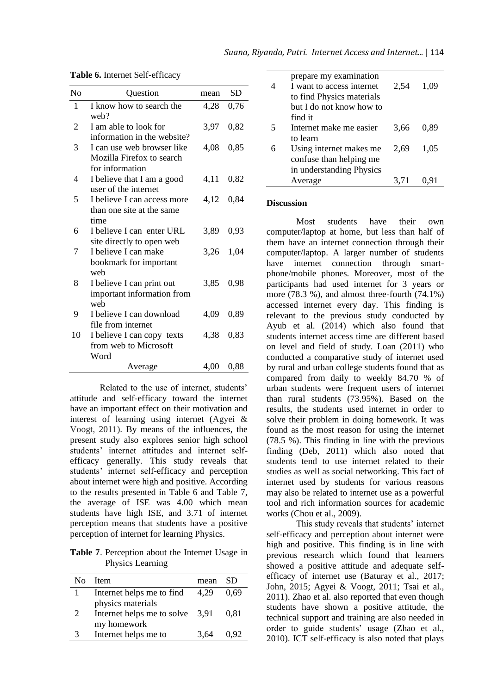| N <sub>o</sub> | Question                         | mean | <b>SD</b> |
|----------------|----------------------------------|------|-----------|
| 1              | I know how to search the<br>web? | 4,28 | 0,76      |
| 2              | I am able to look for            | 3,97 | 0,82      |
|                | information in the website?      |      |           |
| 3              | I can use web browser like       | 4,08 | 0,85      |
|                | Mozilla Firefox to search        |      |           |
|                | for information                  |      |           |
| 4              | I believe that I am a good       | 4,11 | 0,82      |
|                | user of the internet             |      |           |
| 5              | I believe I can access more      | 4,12 | 0,84      |
|                | than one site at the same        |      |           |
|                | time                             |      |           |
| 6              | I believe I can enter URL        | 3,89 | 0,93      |
|                | site directly to open web        |      |           |
| 7              | I believe I can make             | 3,26 | 1,04      |
|                | bookmark for important           |      |           |
|                | weh                              |      |           |
| 8              | I believe I can print out        | 3,85 | 0,98      |
|                | important information from       |      |           |
|                | weh                              |      |           |
| 9              | I believe I can download         | 4,09 | 0,89      |
|                | file from internet               |      |           |
| 10             | I believe I can copy texts       | 4,38 | 0,83      |
|                | from web to Microsoft            |      |           |
|                | Word                             |      |           |
|                | Average                          | 4,00 | 0,88      |

**Table 6.** Internet Self-efficacy

Related to the use of internet, students' attitude and self-efficacy toward the internet have an important effect on their motivation and interest of learning using internet (Agyei & Voogt, 2011). By means of the influences, the present study also explores senior high school students' internet attitudes and internet selfefficacy generally. This study reveals that students' internet self-efficacy and perception about internet were high and positive. According to the results presented in Table 6 and Table 7, the average of ISE was 4.00 which mean students have high ISE, and 3.71 of internet perception means that students have a positive perception of internet for learning Physics.

**Table 7**. Perception about the Internet Usage in Physics Learning

| Nο             | <b>Item</b>                       | mean | SD.   |
|----------------|-----------------------------------|------|-------|
|                | Internet helps me to find         | 4.29 | 0.69  |
|                | physics materials                 |      |       |
| $\overline{2}$ | Internet helps me to solve $3,91$ |      | 0.81  |
|                | my homework                       |      |       |
| 3              | Internet helps me to              | 3.64 | () 92 |

|   | prepare my examination<br>I want to access internet<br>to find Physics materials | 2.54 | 1.09 |
|---|----------------------------------------------------------------------------------|------|------|
|   | but I do not know how to                                                         |      |      |
|   | find it                                                                          |      |      |
| 5 | Internet make me easier                                                          | 3.66 | 0.89 |
|   | to learn                                                                         |      |      |
|   | Using internet makes me                                                          | 2.69 | 1.05 |
|   | confuse than helping me                                                          |      |      |
|   | in understanding Physics                                                         |      |      |
|   | Average                                                                          | 3.71 | 0.91 |
|   |                                                                                  |      |      |

#### **Discussion**

Most students have their own computer/laptop at home, but less than half of them have an internet connection through their computer/laptop. A larger number of students have internet connection through smartphone/mobile phones. Moreover, most of the participants had used internet for 3 years or more  $(78.3 \%)$ , and almost three-fourth  $(74.1\%)$ accessed internet every day. This finding is relevant to the previous study conducted by Ayub et al. (2014) which also found that students internet access time are different based on level and field of study. Loan (2011) who conducted a comparative study of internet used by rural and urban college students found that as compared from daily to weekly 84.70 % of urban students were frequent users of internet than rural students (73.95%). Based on the results, the students used internet in order to solve their problem in doing homework. It was found as the most reason for using the internet (78.5 %). This finding in line with the previous finding (Deb, 2011) which also noted that students tend to use internet related to their studies as well as social networking. This fact of internet used by students for various reasons may also be related to internet use as a powerful tool and rich information sources for academic works (Chou et al., 2009).

This study reveals that students' internet self-efficacy and perception about internet were high and positive. This finding is in line with previous research which found that learners showed a positive attitude and adequate selfefficacy of internet use (Baturay et al., 2017; John, 2015; Agyei & Voogt, 2011; Tsai et al., 2011). Zhao et al. also reported that even though students have shown a positive attitude, the technical support and training are also needed in order to guide students' usage (Zhao et al., 2010). ICT self-efficacy is also noted that plays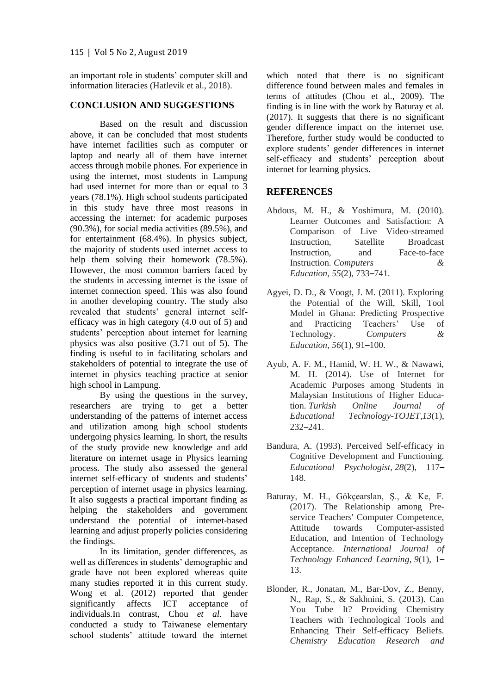an important role in students' computer skill and information literacies (Hatlevik et al., 2018).

## **CONCLUSION AND SUGGESTIONS**

Based on the result and discussion above, it can be concluded that most students have internet facilities such as computer or laptop and nearly all of them have internet access through mobile phones. For experience in using the internet, most students in Lampung had used internet for more than or equal to 3 years (78.1%). High school students participated in this study have three most reasons in accessing the internet: for academic purposes (90.3%), for social media activities (89.5%), and for entertainment (68.4%). In physics subject, the majority of students used internet access to help them solving their homework (78.5%). However, the most common barriers faced by the students in accessing internet is the issue of internet connection speed. This was also found in another developing country. The study also revealed that students' general internet selfefficacy was in high category (4.0 out of 5) and students' perception about internet for learning physics was also positive (3.71 out of 5). The finding is useful to in facilitating scholars and stakeholders of potential to integrate the use of internet in physics teaching practice at senior high school in Lampung.

By using the questions in the survey, researchers are trying to get a better understanding of the patterns of internet access and utilization among high school students undergoing physics learning. In short, the results of the study provide new knowledge and add literature on internet usage in Physics learning process. The study also assessed the general internet self-efficacy of students and students' perception of internet usage in physics learning. It also suggests a practical important finding as helping the stakeholders and government understand the potential of internet-based learning and adjust properly policies considering the findings.

In its limitation, gender differences, as well as differences in students' demographic and grade have not been explored whereas quite many studies reported it in this current study. Wong et al. (2012) reported that gender significantly affects ICT acceptance of individuals.In contrast, Chou *et al*. have conducted a study to Taiwanese elementary school students' attitude toward the internet

which noted that there is no significant difference found between males and females in terms of attitudes (Chou et al., 2009). The finding is in line with the work by Baturay et al. (2017). It suggests that there is no significant gender difference impact on the internet use. Therefore, further study would be conducted to explore students' gender differences in internet self-efficacy and students' perception about internet for learning physics.

## **REFERENCES**

- Abdous, M. H., & Yoshimura, M. (2010). Learner Outcomes and Satisfaction: A Comparison of Live Video-streamed Instruction, Satellite Broadcast Instruction, and Face-to-face Instruction. *Computers & Education*, *55*(2), 733–741.
- Agyei, D. D., & Voogt, J. M. (2011). Exploring the Potential of the Will, Skill, Tool Model in Ghana: Predicting Prospective and Practicing Teachers' Use of Technology. *Computers & Education*, *56*(1), 91–100.
- Ayub, A. F. M., Hamid, W. H. W., & Nawawi, M. H. (2014). Use of Internet for Academic Purposes among Students in Malaysian Institutions of Higher Education. *Turkish Online Journal of Educational Technology-TOJET*,*13*(1), 232–241.
- Bandura, A. (1993). Perceived Self-efficacy in Cognitive Development and Functioning. *Educational Psychologist*, *28*(2), 117– 148.
- Baturay, M. H., Gökçearslan, Ş., & Ke, F. (2017). The Relationship among Preservice Teachers' Computer Competence, Attitude towards Computer-assisted Education, and Intention of Technology Acceptance. *International Journal of Technology Enhanced Learning*, *9*(1), 1– 13.
- Blonder, R., Jonatan, M., Bar-Dov, Z., Benny, N., Rap, S., & Sakhnini, S. (2013). Can You Tube It? Providing Chemistry Teachers with Technological Tools and Enhancing Their Self-efficacy Beliefs. *Chemistry Education Research and*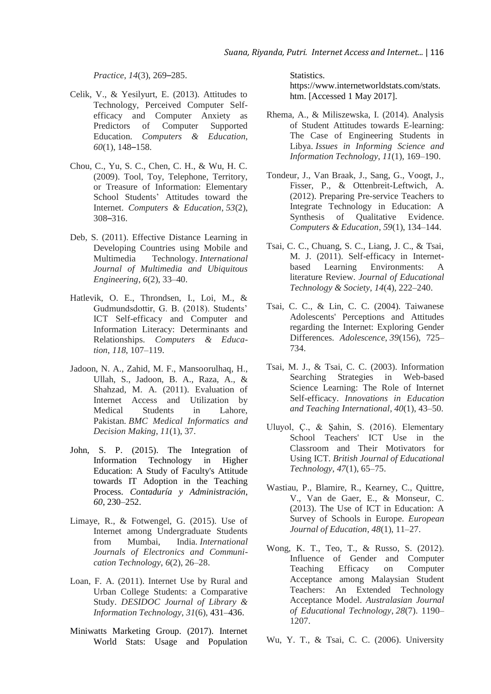*Practice*, *14*(3), 269–285.

- Celik, V., & Yesilyurt, E. (2013). Attitudes to Technology, Perceived Computer Selfefficacy and Computer Anxiety as Predictors of Computer Supported Education. *Computers & Education*, *60*(1), 148–158.
- Chou, C., Yu, S. C., Chen, C. H., & Wu, H. C. (2009). Tool, Toy, Telephone, Territory, or Treasure of Information: Elementary School Students' Attitudes toward the Internet. *Computers & Education*, *53*(2), 308–316.
- Deb, S. (2011). Effective Distance Learning in Developing Countries using Mobile and Multimedia Technology. *International Journal of Multimedia and Ubiquitous Engineering*, *6*(2), 33–40.
- Hatlevik, O. E., Throndsen, I., Loi, M., & Gudmundsdottir, G. B. (2018). Students' ICT Self-efficacy and Computer and Information Literacy: Determinants and Relationships. *Computers & Education*, *118*, 107–119.
- Jadoon, N. A., Zahid, M. F., Mansoorulhaq, H., Ullah, S., Jadoon, B. A., Raza, A., & Shahzad, M. A. (2011). Evaluation of Internet Access and Utilization by Medical Students in Lahore, Pakistan. *BMC Medical Informatics and Decision Making*, *11*(1), 37.
- John, S. P. (2015). The Integration of Information Technology in Higher Education: A Study of Faculty's Attitude towards IT Adoption in the Teaching Process. *Contaduría y Administración*, *60*, 230–252.
- Limaye, R., & Fotwengel, G. (2015). Use of Internet among Undergraduate Students from Mumbai, India. *International Journals of Electronics and Communication Technology*, *6*(2), 26–28.
- Loan, F. A. (2011). Internet Use by Rural and Urban College Students: a Comparative Study. *DESIDOC Journal of Library & Information Technology*, *31*(6), 431–436.
- Miniwatts Marketing Group. (2017). Internet World Stats: Usage and Population

Statistics.

https://www.internetworldstats.com/stats. htm. [Accessed 1 May 2017].

- Rhema, A., & Miliszewska, I. (2014). Analysis of Student Attitudes towards E-learning: The Case of Engineering Students in Libya. *Issues in Informing Science and Information Technology*, *11*(1), 169–190.
- Tondeur, J., Van Braak, J., Sang, G., Voogt, J., Fisser, P., & Ottenbreit-Leftwich, A. (2012). Preparing Pre-service Teachers to Integrate Technology in Education: A Synthesis of Qualitative Evidence. *Computers & Education*, *59*(1), 134–144.
- Tsai, C. C., Chuang, S. C., Liang, J. C., & Tsai, M. J. (2011). Self-efficacy in Internetbased Learning Environments: A literature Review. *Journal of Educational Technology & Society*, *14*(4), 222–240.
- Tsai, C. C., & Lin, C. C. (2004). Taiwanese Adolescents' Perceptions and Attitudes regarding the Internet: Exploring Gender Differences. *Adolescence*, *39*(156), 725– 734.
- Tsai, M. J., & Tsai, C. C. (2003). Information Searching Strategies in Web-based Science Learning: The Role of Internet Self-efficacy. *Innovations in Education and Teaching International*, *40*(1), 43–50.
- Uluyol, Ç., & Şahin, S. (2016). Elementary School Teachers' ICT Use in the Classroom and Their Motivators for Using ICT. *British Journal of Educational Technology*, *47*(1), 65–75.
- Wastiau, P., Blamire, R., Kearney, C., Quittre, V., Van de Gaer, E., & Monseur, C. (2013). The Use of ICT in Education: A Survey of Schools in Europe. *European Journal of Education*, *48*(1), 11–27.
- Wong, K. T., Teo, T., & Russo, S. (2012). Influence of Gender and Computer Teaching Efficacy on Computer Acceptance among Malaysian Student Teachers: An Extended Technology Acceptance Model. *Australasian Journal of Educational Technology*, *28*(7). 1190– 1207.
- Wu, Y. T., & Tsai, C. C. (2006). University